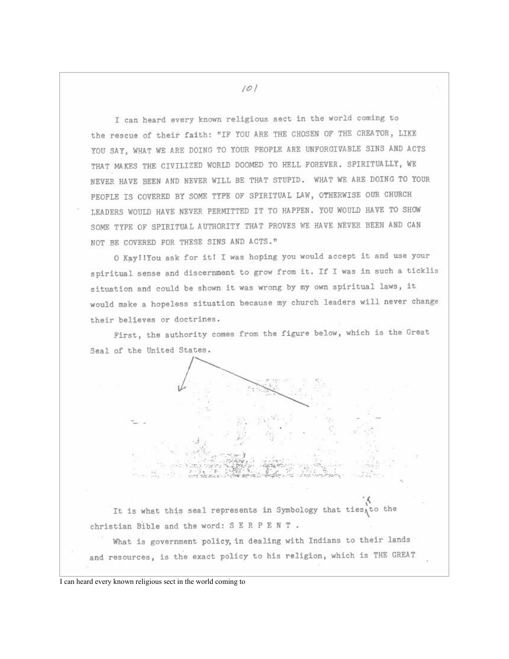I can heard every known religious sect in the world coming to the rescue of their faith: "IF YOU ARE THE CHOSEN OF THE CREATOR, LIKE YOU SAY, WHAT WE ARE DOING TO YOUR PEOPLE ARE UNFORGIVABLE SINS AND ACTS THAT MAKES THE CIVILIZED WORLD DOOMED TO HELL FOREVER. SPIRITUALLY, WE NEVER HAVE BEEN AND NEVER WILL BE THAT STUPID. WHAT WE ARE DOING TO YOUR PEOPLE IS COVERED BY SOME TYPE OF SPIRITUAL LAW, OTHERWISE OUR CHURCH LEADERS WOULD HAVE NEVER PERMITTED IT TO HAPPEN. YOU WOULD HAVE TO SHOW SOME TYPE OF SPIRITUAL AUTHORITY THAT PROVES WE HAVE NEVER BEEN AND CAN NOT BE COVERED FOR THESE SINS AND ACTS."

O Kay! IYou ask for it! I was hoping you would accept it and use your spiritual sense and discernment to grow from it. If I was in such a ticklis situation and could be shown it was wrong by my own spiritual laws, it would make a hopeless situation because my church leaders will never change their believes or doctrines.

First, the authority comes from the figure below, which is the Great Seal of the United States.

It is what this seal represents in Symbology that ties to the christian Bible and the word: S E R P E N T.

What is government policy, in dealing with Indians to their lands and resources, is the exact policy to his religion, which is THE GREAT

I can heard every known religious sect in the world coming to

 $101$